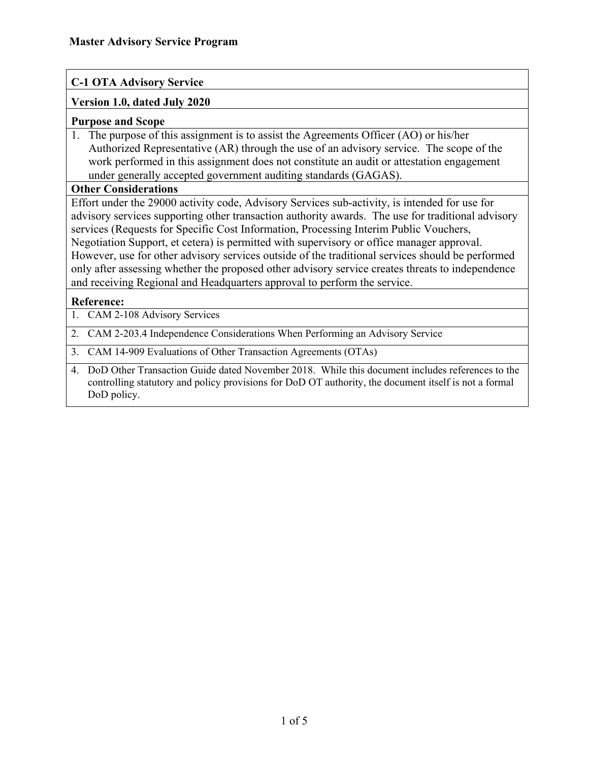## **C-1 OTA Advisory Service**

### **Version 1.0, dated July 2020**

#### **Purpose and Scope**

1. The purpose of this assignment is to assist the Agreements Officer (AO) or his/her Authorized Representative (AR) through the use of an advisory service. The scope of the work performed in this assignment does not constitute an audit or attestation engagement under generally accepted government auditing standards (GAGAS).

#### **Other Considerations**

Effort under the 29000 activity code, Advisory Services sub-activity, is intended for use for advisory services supporting other transaction authority awards. The use for traditional advisory services (Requests for Specific Cost Information, Processing Interim Public Vouchers, Negotiation Support, et cetera) is permitted with supervisory or office manager approval. However, use for other advisory services outside of the traditional services should be performed only after assessing whether the proposed other advisory service creates threats to independence and receiving Regional and Headquarters approval to perform the service.

#### **Reference:**

- 1. CAM 2-108 Advisory Services
- 2. CAM 2-203.4 Independence Considerations When Performing an Advisory Service
- 3. CAM 14-909 Evaluations of Other Transaction Agreements (OTAs)
- 4. DoD Other Transaction Guide dated November 2018. While this document includes references to the controlling statutory and policy provisions for DoD OT authority, the document itself is not a formal DoD policy.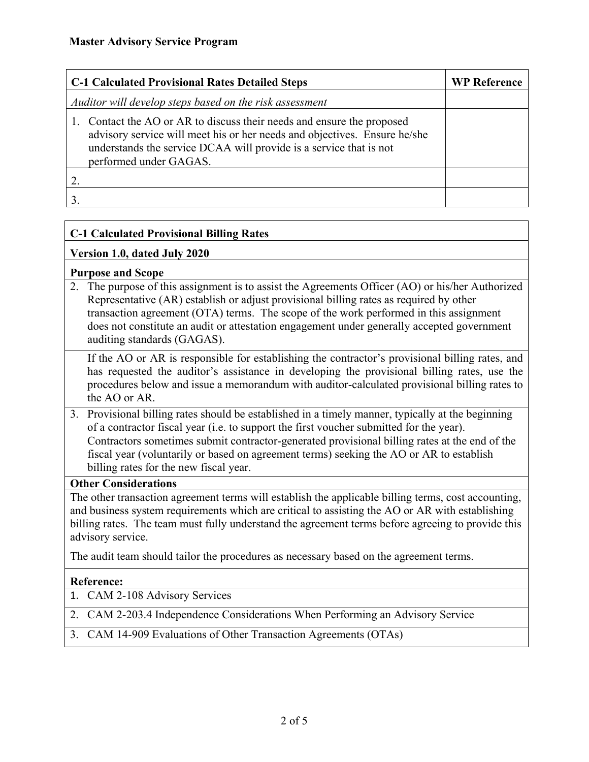| <b>C-1 Calculated Provisional Rates Detailed Steps</b>                                                                                                                                                                                           | <b>WP Reference</b> |
|--------------------------------------------------------------------------------------------------------------------------------------------------------------------------------------------------------------------------------------------------|---------------------|
| Auditor will develop steps based on the risk assessment                                                                                                                                                                                          |                     |
| Contact the AO or AR to discuss their needs and ensure the proposed<br>advisory service will meet his or her needs and objectives. Ensure he/she<br>understands the service DCAA will provide is a service that is not<br>performed under GAGAS. |                     |
|                                                                                                                                                                                                                                                  |                     |
|                                                                                                                                                                                                                                                  |                     |

# **C-1 Calculated Provisional Billing Rates**

### **Version 1.0, dated July 2020**

### **Purpose and Scope**

2. The purpose of this assignment is to assist the Agreements Officer (AO) or his/her Authorized Representative (AR) establish or adjust provisional billing rates as required by other transaction agreement (OTA) terms. The scope of the work performed in this assignment does not constitute an audit or attestation engagement under generally accepted government auditing standards (GAGAS).

If the AO or AR is responsible for establishing the contractor's provisional billing rates, and has requested the auditor's assistance in developing the provisional billing rates, use the procedures below and issue a memorandum with auditor-calculated provisional billing rates to the AO or AR.

3. Provisional billing rates should be established in a timely manner, typically at the beginning of a contractor fiscal year (i.e. to support the first voucher submitted for the year). Contractors sometimes submit contractor-generated provisional billing rates at the end of the fiscal year (voluntarily or based on agreement terms) seeking the AO or AR to establish billing rates for the new fiscal year.

#### **Other Considerations**

The other transaction agreement terms will establish the applicable billing terms, cost accounting, and business system requirements which are critical to assisting the AO or AR with establishing billing rates. The team must fully understand the agreement terms before agreeing to provide this advisory service.

The audit team should tailor the procedures as necessary based on the agreement terms.

### **Reference:**

1. CAM 2-108 Advisory Services

2. CAM 2-203.4 Independence Considerations When Performing an Advisory Service

3. CAM 14-909 Evaluations of Other Transaction Agreements (OTAs)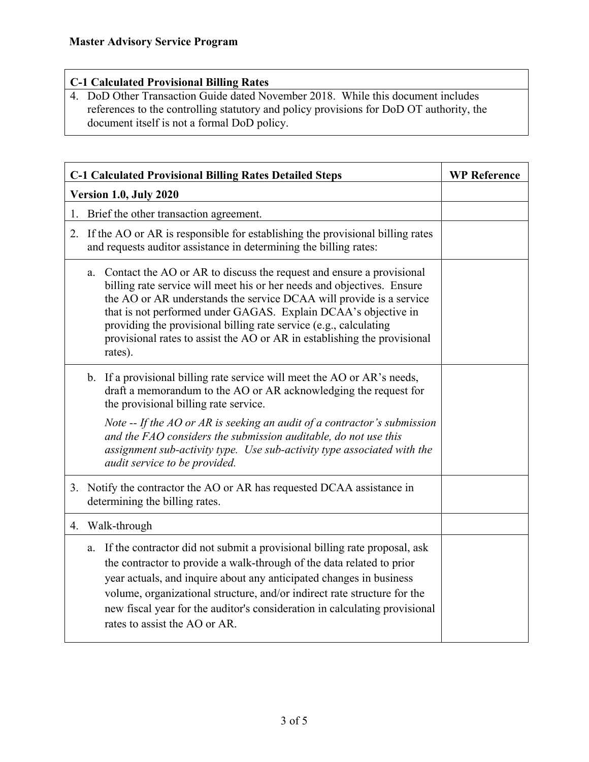# **C-1 Calculated Provisional Billing Rates**

4. DoD Other Transaction Guide dated November 2018. While this document includes references to the controlling statutory and policy provisions for DoD OT authority, the document itself is not a formal DoD policy.

| <b>C-1 Calculated Provisional Billing Rates Detailed Steps</b>                                                                                                                                                                                                                                                                                                                                                                                            | <b>WP Reference</b> |
|-----------------------------------------------------------------------------------------------------------------------------------------------------------------------------------------------------------------------------------------------------------------------------------------------------------------------------------------------------------------------------------------------------------------------------------------------------------|---------------------|
| Version 1.0, July 2020                                                                                                                                                                                                                                                                                                                                                                                                                                    |                     |
| Brief the other transaction agreement.<br>1.                                                                                                                                                                                                                                                                                                                                                                                                              |                     |
| 2. If the AO or AR is responsible for establishing the provisional billing rates<br>and requests auditor assistance in determining the billing rates:                                                                                                                                                                                                                                                                                                     |                     |
| Contact the AO or AR to discuss the request and ensure a provisional<br>a.<br>billing rate service will meet his or her needs and objectives. Ensure<br>the AO or AR understands the service DCAA will provide is a service<br>that is not performed under GAGAS. Explain DCAA's objective in<br>providing the provisional billing rate service (e.g., calculating<br>provisional rates to assist the AO or AR in establishing the provisional<br>rates). |                     |
| b. If a provisional billing rate service will meet the AO or AR's needs,<br>draft a memorandum to the AO or AR acknowledging the request for<br>the provisional billing rate service.                                                                                                                                                                                                                                                                     |                     |
| Note -- If the AO or AR is seeking an audit of a contractor's submission<br>and the FAO considers the submission auditable, do not use this<br>assignment sub-activity type. Use sub-activity type associated with the<br>audit service to be provided.                                                                                                                                                                                                   |                     |
| 3. Notify the contractor the AO or AR has requested DCAA assistance in<br>determining the billing rates.                                                                                                                                                                                                                                                                                                                                                  |                     |
| 4. Walk-through                                                                                                                                                                                                                                                                                                                                                                                                                                           |                     |
| If the contractor did not submit a provisional billing rate proposal, ask<br>a.<br>the contractor to provide a walk-through of the data related to prior<br>year actuals, and inquire about any anticipated changes in business<br>volume, organizational structure, and/or indirect rate structure for the<br>new fiscal year for the auditor's consideration in calculating provisional<br>rates to assist the AO or AR.                                |                     |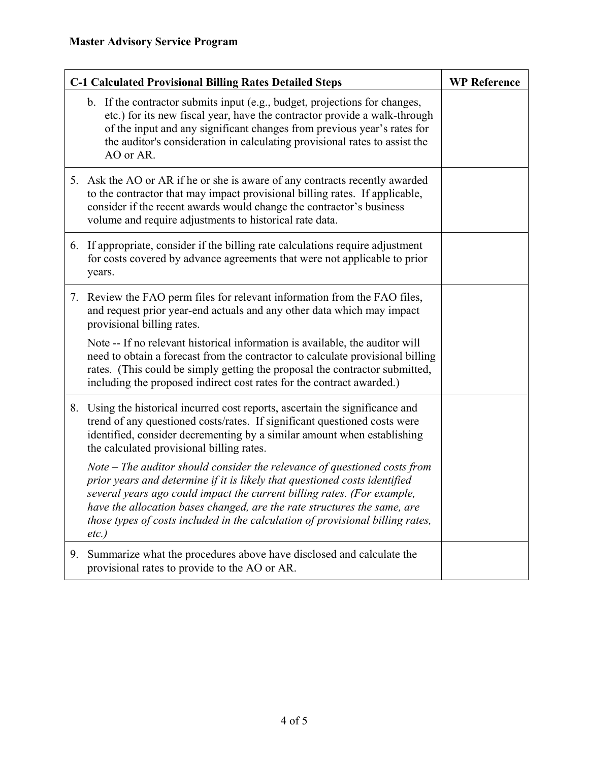| <b>C-1 Calculated Provisional Billing Rates Detailed Steps</b> |                                                                                                                                                                                                                                                                                                                                                                                                                | <b>WP Reference</b> |
|----------------------------------------------------------------|----------------------------------------------------------------------------------------------------------------------------------------------------------------------------------------------------------------------------------------------------------------------------------------------------------------------------------------------------------------------------------------------------------------|---------------------|
|                                                                | b. If the contractor submits input (e.g., budget, projections for changes,<br>etc.) for its new fiscal year, have the contractor provide a walk-through<br>of the input and any significant changes from previous year's rates for<br>the auditor's consideration in calculating provisional rates to assist the<br>AO or AR.                                                                                  |                     |
|                                                                | 5. Ask the AO or AR if he or she is aware of any contracts recently awarded<br>to the contractor that may impact provisional billing rates. If applicable,<br>consider if the recent awards would change the contractor's business<br>volume and require adjustments to historical rate data.                                                                                                                  |                     |
|                                                                | 6. If appropriate, consider if the billing rate calculations require adjustment<br>for costs covered by advance agreements that were not applicable to prior<br>years.                                                                                                                                                                                                                                         |                     |
|                                                                | 7. Review the FAO perm files for relevant information from the FAO files,<br>and request prior year-end actuals and any other data which may impact<br>provisional billing rates.<br>Note -- If no relevant historical information is available, the auditor will<br>need to obtain a forecast from the contractor to calculate provisional billing                                                            |                     |
|                                                                | rates. (This could be simply getting the proposal the contractor submitted,<br>including the proposed indirect cost rates for the contract awarded.)                                                                                                                                                                                                                                                           |                     |
| 8.                                                             | Using the historical incurred cost reports, ascertain the significance and<br>trend of any questioned costs/rates. If significant questioned costs were<br>identified, consider decrementing by a similar amount when establishing<br>the calculated provisional billing rates.                                                                                                                                |                     |
|                                                                | Note $-$ The auditor should consider the relevance of questioned costs from<br>prior years and determine if it is likely that questioned costs identified<br>several years ago could impact the current billing rates. (For example,<br>have the allocation bases changed, are the rate structures the same, are<br>those types of costs included in the calculation of provisional billing rates,<br>$etc.$ ) |                     |
| 9.                                                             | Summarize what the procedures above have disclosed and calculate the<br>provisional rates to provide to the AO or AR.                                                                                                                                                                                                                                                                                          |                     |